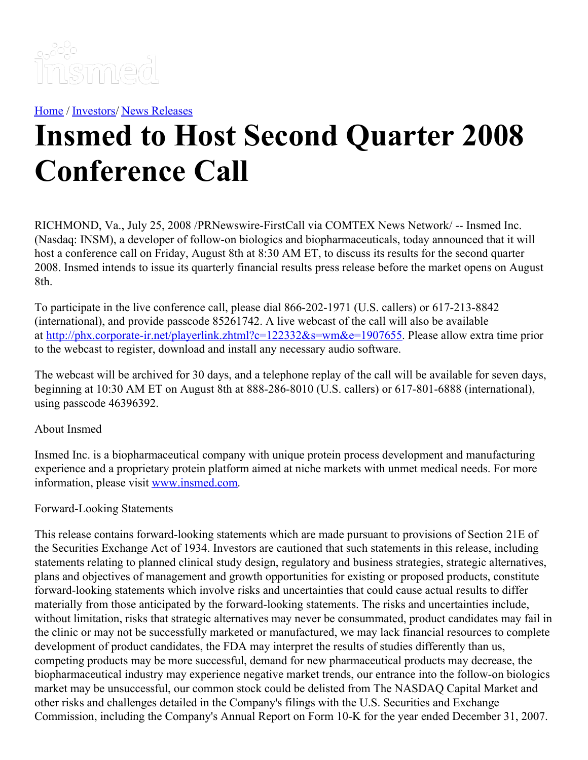

[Home](https://insmed.com/) / [Investors](https://investor.insmed.com/index)/ News [Releases](https://investor.insmed.com/releases)

## **Insmed to Host Second Quarter 2008 Conference Call**

RICHMOND, Va., July 25, 2008 /PRNewswire-FirstCall via COMTEX News Network/ -- Insmed Inc. (Nasdaq: INSM), a developer of follow-on biologics and biopharmaceuticals, today announced that it will host a conference call on Friday, August 8th at 8:30 AM ET, to discuss its results for the second quarter 2008. Insmed intends to issue its quarterly financial results press release before the market opens on August 8th.

To participate in the live conference call, please dial 866-202-1971 (U.S. callers) or 617-213-8842 (international), and provide passcode 85261742. A live webcast of the call will also be available at <http://phx.corporate-ir.net/playerlink.zhtml?c=122332&s=wm&e=1907655>. Please allow extra time prior to the webcast to register, download and install any necessary audio software.

The webcast will be archived for 30 days, and a telephone replay of the call will be available for seven days, beginning at 10:30 AM ET on August 8th at 888-286-8010 (U.S. callers) or 617-801-6888 (international), using passcode 46396392.

## About Insmed

Insmed Inc. is a biopharmaceutical company with unique protein process development and manufacturing experience and a proprietary protein platform aimed at niche markets with unmet medical needs. For more information, please visit [www.insmed.com](http://www.insmed.com/).

## Forward-Looking Statements

This release contains forward-looking statements which are made pursuant to provisions of Section 21E of the Securities Exchange Act of 1934. Investors are cautioned that such statements in this release, including statements relating to planned clinical study design, regulatory and business strategies, strategic alternatives, plans and objectives of management and growth opportunities for existing or proposed products, constitute forward-looking statements which involve risks and uncertainties that could cause actual results to differ materially from those anticipated by the forward-looking statements. The risks and uncertainties include, without limitation, risks that strategic alternatives may never be consummated, product candidates may fail in the clinic or may not be successfully marketed or manufactured, we may lack financial resources to complete development of product candidates, the FDA may interpret the results of studies differently than us, competing products may be more successful, demand for new pharmaceutical products may decrease, the biopharmaceutical industry may experience negative market trends, our entrance into the follow-on biologics market may be unsuccessful, our common stock could be delisted from The NASDAQ Capital Market and other risks and challenges detailed in the Company's filings with the U.S. Securities and Exchange Commission, including the Company's Annual Report on Form 10-K for the year ended December 31, 2007.